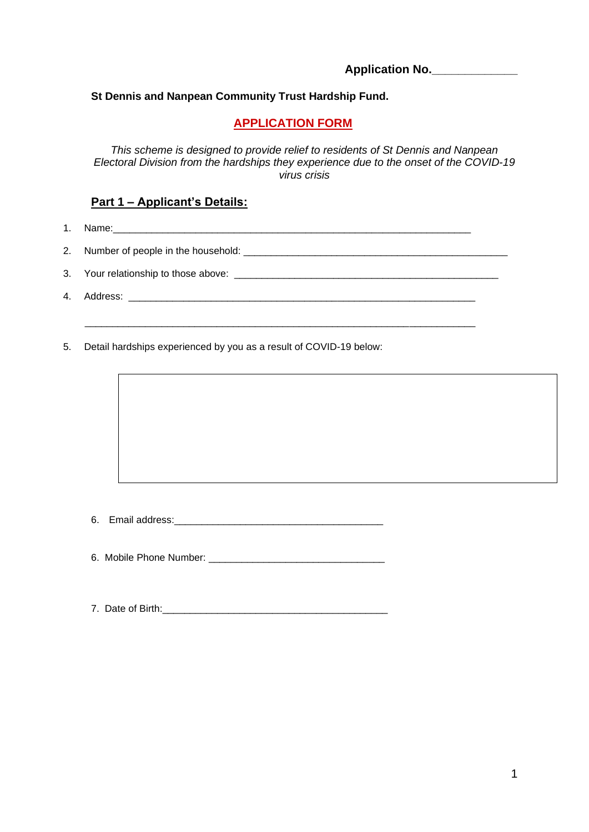**Application No.\_\_\_\_\_\_\_\_\_\_\_\_\_**

#### **St Dennis and Nanpean Community Trust Hardship Fund.**

## **APPLICATION FORM**

*This scheme is designed to provide relief to residents of St Dennis and Nanpean Electoral Division from the hardships they experience due to the onset of the COVID-19 virus crisis* 

# **Part 1 – Applicant's Details:**

1. Name:\_\_\_\_\_\_\_\_\_\_\_\_\_\_\_\_\_\_\_\_\_\_\_\_\_\_\_\_\_\_\_\_\_\_\_\_\_\_\_\_\_\_\_\_\_\_\_\_\_\_\_\_\_\_\_\_\_\_\_\_\_\_\_\_\_

2. Number of people in the household: \_\_\_\_\_\_\_\_\_\_\_\_\_\_\_\_\_\_\_\_\_\_\_\_\_\_\_\_\_\_\_\_\_\_\_\_\_\_\_\_\_\_\_\_\_\_\_\_

\_\_\_\_\_\_\_\_\_\_\_\_\_\_\_\_\_\_\_\_\_\_\_\_\_\_\_\_\_\_\_\_\_\_\_\_\_\_\_\_\_\_\_\_\_\_\_\_\_\_\_\_\_\_\_\_\_\_\_\_\_\_\_\_\_\_\_\_\_\_\_

3. Your relationship to those above:

- 4. Address:
- 5. Detail hardships experienced by you as a result of COVID-19 below:

6. Email address:\_\_\_\_\_\_\_\_\_\_\_\_\_\_\_\_\_\_\_\_\_\_\_\_\_\_\_\_\_\_\_\_\_\_\_\_\_\_

6. Mobile Phone Number:

7. Date of Birth: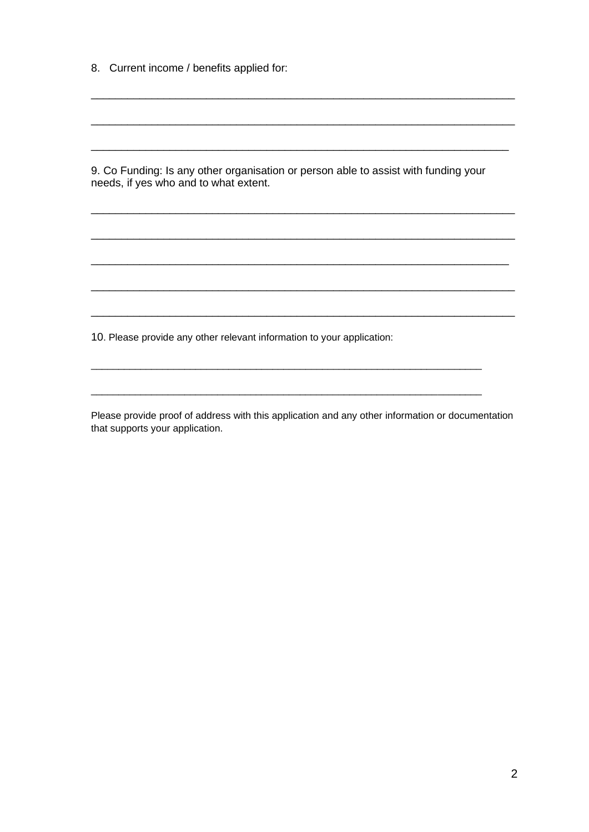8. Current income / benefits applied for:

9. Co Funding: Is any other organisation or person able to assist with funding your needs, if yes who and to what extent.

10. Please provide any other relevant information to your application:

Please provide proof of address with this application and any other information or documentation that supports your application.